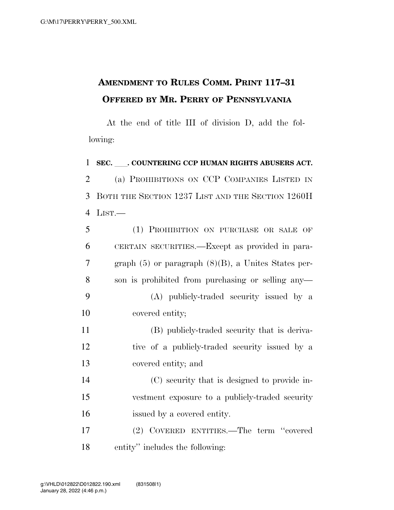## **AMENDMENT TO RULES COMM. PRINT 117–31 OFFERED BY MR. PERRY OF PENNSYLVANIA**

At the end of title III of division D, add the following:

**SEC.** . COUNTERING CCP HUMAN RIGHTS ABUSERS ACT. (a) PROHIBITIONS ON CCP COMPANIES LISTED IN BOTH THE SECTION 1237 LIST AND THE SECTION 1260H LIST.— (1) PROHIBITION ON PURCHASE OR SALE OF CERTAIN SECURITIES.—Except as provided in para- graph (5) or paragraph (8)(B), a Unites States per- son is prohibited from purchasing or selling any— (A) publicly-traded security issued by a covered entity; (B) publicly-traded security that is deriva- tive of a publicly-traded security issued by a covered entity; and (C) security that is designed to provide in- vestment exposure to a publicly-traded security issued by a covered entity. (2) COVERED ENTITIES.—The term ''covered

entity'' includes the following: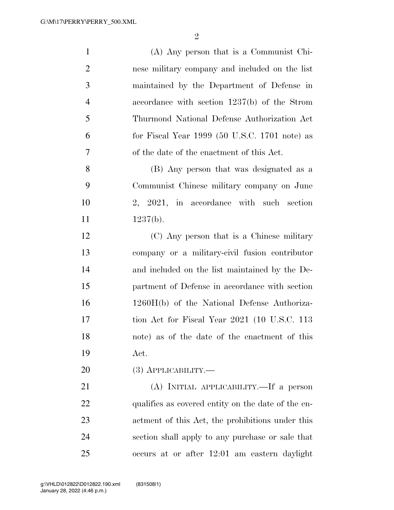| $\mathbf{1}$   | (A) Any person that is a Communist Chi-            |
|----------------|----------------------------------------------------|
| $\overline{2}$ | nese military company and included on the list     |
| 3              | maintained by the Department of Defense in         |
| $\overline{4}$ | accordance with section $1237(b)$ of the Strom     |
| 5              | Thurmond National Defense Authorization Act        |
| 6              | for Fiscal Year $1999$ (50 U.S.C. 1701 note) as    |
| 7              | of the date of the enactment of this Act.          |
| 8              | (B) Any person that was designated as a            |
| 9              | Communist Chinese military company on June         |
| 10             | 2, 2021, in accordance with such section           |
| 11             | 1237(b).                                           |
| 12             | (C) Any person that is a Chinese military          |
| 13             | company or a military-civil fusion contributor     |
| 14             | and included on the list maintained by the De-     |
| 15             | partment of Defense in accordance with section     |
| 16             | $1260H(b)$ of the National Defense Authoriza-      |
| 17             | tion Act for Fiscal Year 2021 (10 U.S.C. 113)      |
| 18             | note) as of the date of the enactment of this      |
| 19             | Act.                                               |
| 20             | $(3)$ APPLICABILITY.—                              |
| 21             | (A) INITIAL APPLICABILITY.—If a person             |
| 22             | qualifies as covered entity on the date of the en- |
| 23             | actment of this Act, the prohibitions under this   |
| 24             | section shall apply to any purchase or sale that   |

occurs at or after 12:01 am eastern daylight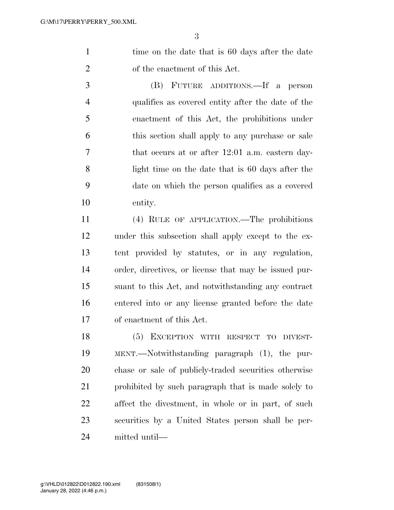1 time on the date that is 60 days after the date of the enactment of this Act.

 (B) FUTURE ADDITIONS.—If a person qualifies as covered entity after the date of the enactment of this Act, the prohibitions under this section shall apply to any purchase or sale that occurs at or after 12:01 a.m. eastern day- light time on the date that is 60 days after the date on which the person qualifies as a covered entity.

 (4) RULE OF APPLICATION.—The prohibitions under this subsection shall apply except to the ex- tent provided by statutes, or in any regulation, order, directives, or license that may be issued pur- suant to this Act, and notwithstanding any contract entered into or any license granted before the date of enactment of this Act.

 (5) EXCEPTION WITH RESPECT TO DIVEST- MENT.—Notwithstanding paragraph (1), the pur- chase or sale of publicly-traded securities otherwise prohibited by such paragraph that is made solely to affect the divestment, in whole or in part, of such securities by a United States person shall be per-mitted until—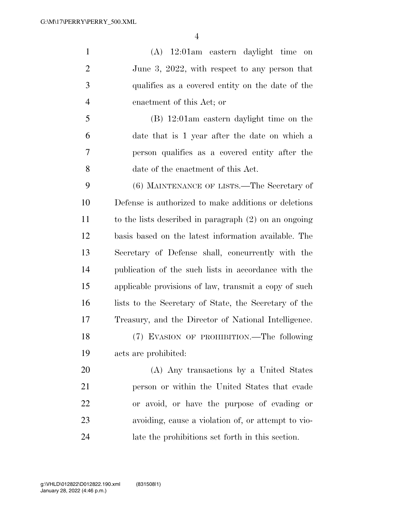(A) 12:01am eastern daylight time on June 3, 2022, with respect to any person that qualifies as a covered entity on the date of the enactment of this Act; or

 (B) 12:01am eastern daylight time on the date that is 1 year after the date on which a person qualifies as a covered entity after the date of the enactment of this Act.

 (6) MAINTENANCE OF LISTS.—The Secretary of Defense is authorized to make additions or deletions to the lists described in paragraph (2) on an ongoing basis based on the latest information available. The Secretary of Defense shall, concurrently with the publication of the such lists in accordance with the applicable provisions of law, transmit a copy of such lists to the Secretary of State, the Secretary of the Treasury, and the Director of National Intelligence.

 (7) EVASION OF PROHIBITION.—The following acts are prohibited:

 (A) Any transactions by a United States person or within the United States that evade or avoid, or have the purpose of evading or avoiding, cause a violation of, or attempt to vio-late the prohibitions set forth in this section.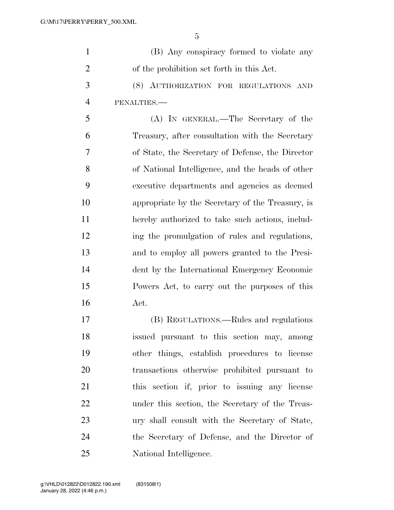| $\mathbf{1}$   | (B) Any conspiracy formed to violate any         |
|----------------|--------------------------------------------------|
| $\overline{2}$ | of the prohibition set forth in this Act.        |
| 3              | (8) AUTHORIZATION FOR REGULATIONS AND            |
| $\overline{4}$ | PENALTIES.-                                      |
| 5              | (A) IN GENERAL.—The Secretary of the             |
| 6              | Treasury, after consultation with the Secretary  |
| 7              | of State, the Secretary of Defense, the Director |
| 8              | of National Intelligence, and the heads of other |
| 9              | executive departments and agencies as deemed     |
| 10             | appropriate by the Secretary of the Treasury, is |
| 11             | hereby authorized to take such actions, includ-  |
| 12             | ing the promulgation of rules and regulations,   |
| 13             | and to employ all powers granted to the Presi-   |
| 14             | dent by the International Emergency Economic     |
| 15             | Powers Act, to carry out the purposes of this    |
| 16             | Act.                                             |
| 17             | (B) REGULATIONS.—Rules and regulations           |
| 18             | issued pursuant to this section may, among       |
| 19             | other things, establish procedures to license    |
| 20             | transactions otherwise prohibited pursuant to    |
| 21             | this section if, prior to issuing any license    |

under this section, the Secretary of the Treas-

ury shall consult with the Secretary of State,

the Secretary of Defense, and the Director of

National Intelligence.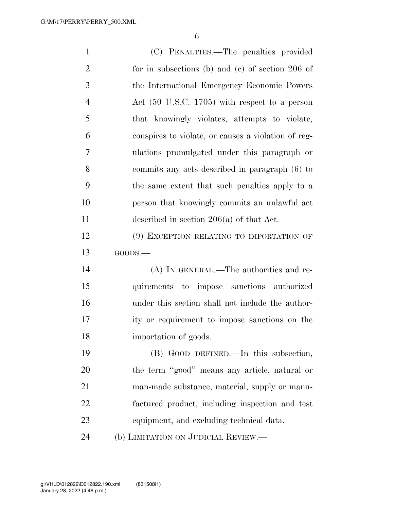| $\mathbf{1}$   | (C) PENALTIES.—The penalties provided               |
|----------------|-----------------------------------------------------|
| $\overline{2}$ | for in subsections (b) and (c) of section 206 of    |
| 3              | the International Emergency Economic Powers         |
| $\overline{4}$ | Act (50 U.S.C. 1705) with respect to a person       |
| 5              | that knowingly violates, attempts to violate,       |
| 6              | conspires to violate, or causes a violation of reg- |
| 7              | ulations promulgated under this paragraph or        |
| 8              | commits any acts described in paragraph (6) to      |
| 9              | the same extent that such penalties apply to a      |
| 10             | person that knowingly commits an unlawful act       |
| 11             | described in section $206(a)$ of that Act.          |
| 12             | (9) EXCEPTION RELATING TO IMPORTATION OF            |
|                |                                                     |
| 13             | GOODS.                                              |
| 14             | (A) IN GENERAL.—The authorities and re-             |
| 15             | quirements to impose sanctions authorized           |
| 16             | under this section shall not include the author-    |
| 17             | ity or requirement to impose sanctions on the       |
| 18             | importation of goods.                               |
| 19             | (B) GOOD DEFINED.—In this subsection,               |
| <b>20</b>      | the term "good" means any article, natural or       |
| 21             | man-made substance, material, supply or manu-       |
| 22             | factured product, including inspection and test     |
| 23             | equipment, and excluding technical data.            |